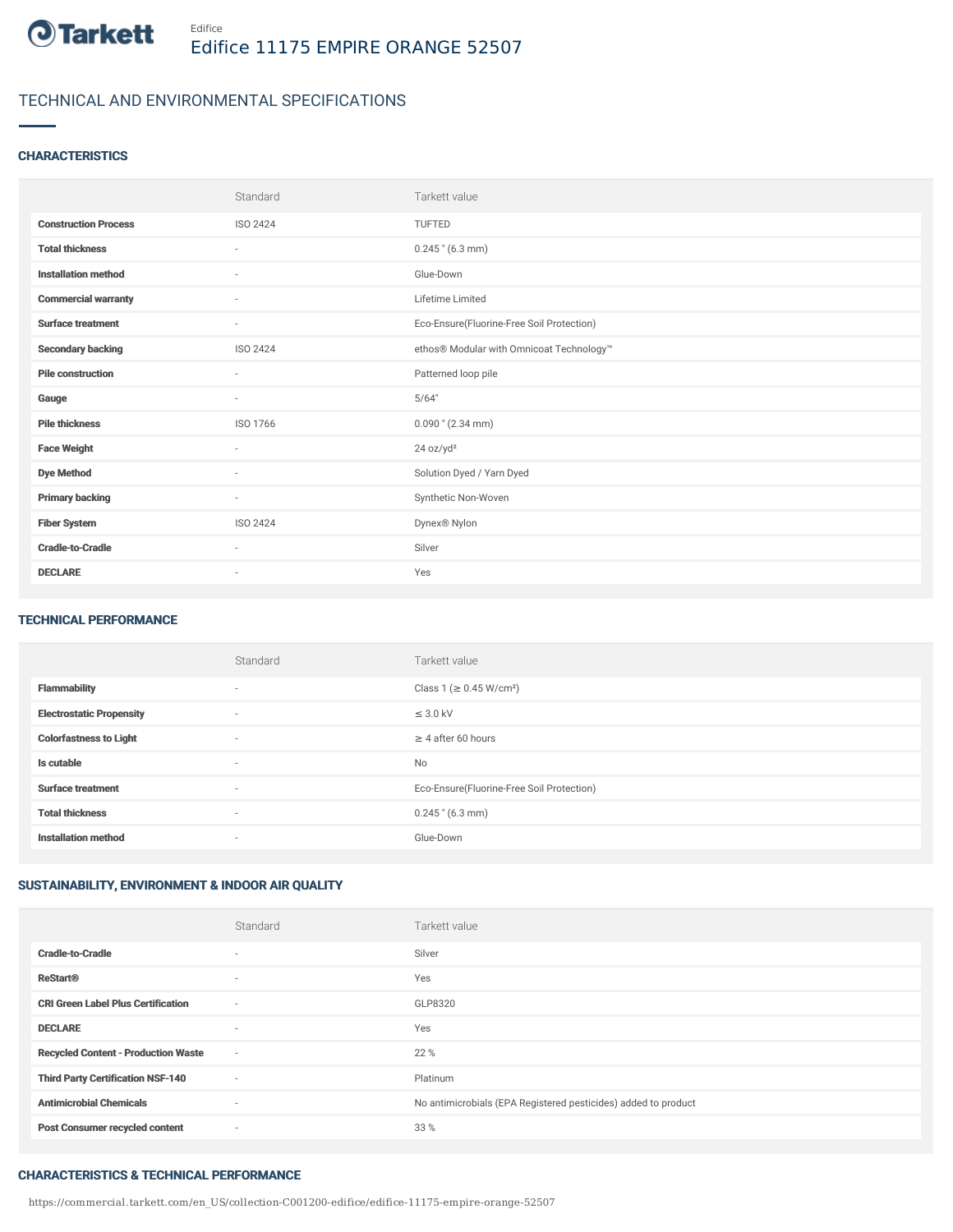

## TECHNICAL AND ENVIRONMENTAL SPECIFICATIONS

### **CHARACTERISTICS**

|                             | Standard                 | Tarkett value                             |
|-----------------------------|--------------------------|-------------------------------------------|
| <b>Construction Process</b> | ISO 2424                 | TUFTED                                    |
| <b>Total thickness</b>      | $\sim$                   | $0.245$ " (6.3 mm)                        |
| <b>Installation method</b>  | $\sim$                   | Glue-Down                                 |
| <b>Commercial warranty</b>  | $\overline{\phantom{a}}$ | Lifetime Limited                          |
| <b>Surface treatment</b>    | $\sim$                   | Eco-Ensure(Fluorine-Free Soil Protection) |
| <b>Secondary backing</b>    | ISO 2424                 | ethos® Modular with Omnicoat Technology™  |
| <b>Pile construction</b>    | ×                        | Patterned loop pile                       |
| Gauge                       | ٠                        | 5/64"                                     |
| <b>Pile thickness</b>       | ISO 1766                 | $0.090$ " (2.34 mm)                       |
| <b>Face Weight</b>          | $\sim$                   | 24 oz/yd <sup>2</sup>                     |
| <b>Dye Method</b>           | ٠                        | Solution Dyed / Yarn Dyed                 |
| <b>Primary backing</b>      | $\sim$                   | Synthetic Non-Woven                       |
| <b>Fiber System</b>         | <b>ISO 2424</b>          | Dynex® Nylon                              |
| <b>Cradle-to-Cradle</b>     | $\sim$                   | Silver                                    |
| <b>DECLARE</b>              | ٠                        | Yes                                       |

#### TECHNICAL PERFORMANCE

|                                 | Standard                 | Tarkett value                             |
|---------------------------------|--------------------------|-------------------------------------------|
| <b>Flammability</b>             | $\overline{\phantom{a}}$ | Class 1 (≥ 0.45 W/cm <sup>2</sup> )       |
| <b>Electrostatic Propensity</b> | $\overline{\phantom{a}}$ | $\leq$ 3.0 kV                             |
| <b>Colorfastness to Light</b>   | $\sim$                   | $\geq 4$ after 60 hours                   |
| Is cutable                      | $\sim$                   | No                                        |
| <b>Surface treatment</b>        | $\overline{\phantom{a}}$ | Eco-Ensure(Fluorine-Free Soil Protection) |
| <b>Total thickness</b>          | $\sim$                   | $0.245$ " (6.3 mm)                        |
| <b>Installation method</b>      | $\overline{\phantom{a}}$ | Glue-Down                                 |

## SUSTAINABILITY, ENVIRONMENT & INDOOR AIR QUALITY

|                                            | Standard | Tarkett value                                                  |
|--------------------------------------------|----------|----------------------------------------------------------------|
| <b>Cradle-to-Cradle</b>                    | $\sim$   | Silver                                                         |
| <b>ReStart®</b>                            | $\sim$   | Yes                                                            |
| <b>CRI Green Label Plus Certification</b>  | ٠        | GLP8320                                                        |
| <b>DECLARE</b>                             | ۰        | Yes                                                            |
| <b>Recycled Content - Production Waste</b> | $\sim$   | 22 %                                                           |
| <b>Third Party Certification NSF-140</b>   | $\sim$   | Platinum                                                       |
| <b>Antimicrobial Chemicals</b>             | $\sim$   | No antimicrobials (EPA Registered pesticides) added to product |
| <b>Post Consumer recycled content</b>      | $\sim$   | 33 %                                                           |

#### CHARACTERISTICS & TECHNICAL PERFORMANCE